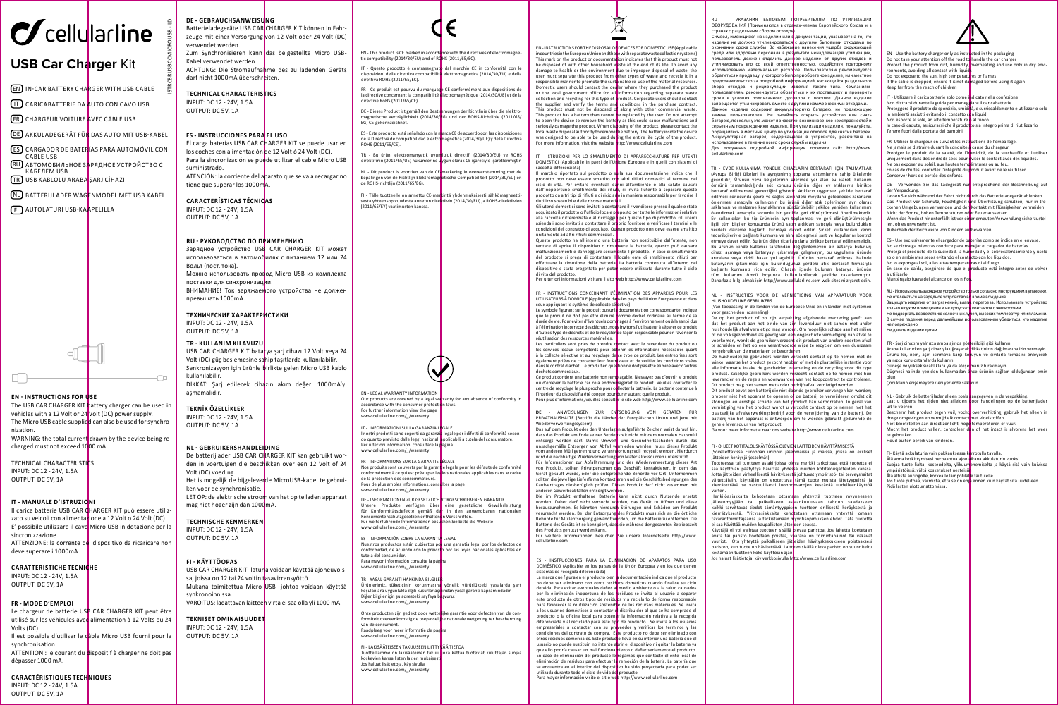